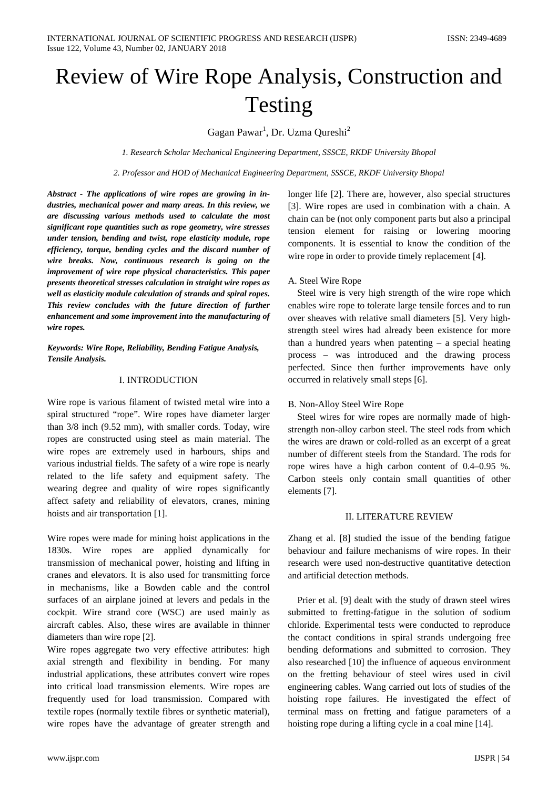# Review of Wire Rope Analysis, Construction and Testing

Gagan Pawar<sup>1</sup>, Dr. Uzma Qureshi<sup>2</sup>

*1. Research Scholar Mechanical Engineering Department, SSSCE, RKDF University Bhopal*

*2. Professor and HOD of Mechanical Engineering Department, SSSCE, RKDF University Bhopal*

*Abstract - The applications of wire ropes are growing in industries, mechanical power and many areas. In this review, we are discussing various methods used to calculate the most significant rope quantities such as rope geometry, wire stresses under tension, bending and twist, rope elasticity module, rope efficiency, torque, bending cycles and the discard number of wire breaks. Now, continuous research is going on the improvement of wire rope physical characteristics. This paper presents theoretical stresses calculation in straight wire ropes as well as elasticity module calculation of strands and spiral ropes. This review concludes with the future direction of further enhancement and some improvement into the manufacturing of wire ropes.*

*Keywords: Wire Rope, Reliability, Bending Fatigue Analysis, Tensile Analysis.*

#### I. INTRODUCTION

Wire rope is various filament of twisted metal wire into a spiral structured "rope". Wire ropes have diameter larger than 3/8 inch (9.52 mm), with smaller cords. Today, wire ropes are constructed using steel as main material. The wire ropes are extremely used in harbours, ships and various industrial fields. The safety of a wire rope is nearly related to the life safety and equipment safety. The wearing degree and quality of wire ropes significantly affect safety and reliability of elevators, cranes, mining hoists and air transportation [1].

Wire ropes were made for mining hoist applications in the 1830s. Wire ropes are applied dynamically for transmission of mechanical power, hoisting and lifting in cranes and elevators. It is also used for transmitting force in mechanisms, like a Bowden cable and the control surfaces of an airplane joined at levers and pedals in the cockpit. Wire strand core (WSC) are used mainly as aircraft cables. Also, these wires are available in thinner diameters than wire rope [2].

Wire ropes aggregate two very effective attributes: high axial strength and flexibility in bending. For many industrial applications, these attributes convert wire ropes into critical load transmission elements. Wire ropes are frequently used for load transmission. Compared with textile ropes (normally textile fibres or synthetic material), wire ropes have the advantage of greater strength and longer life [2]. There are, however, also special structures [3]. Wire ropes are used in combination with a chain. A chain can be (not only component parts but also a principal tension element for raising or lowering mooring components. It is essential to know the condition of the wire rope in order to provide timely replacement [4].

# A. Steel Wire Rope

Steel wire is very high strength of the wire rope which enables wire rope to tolerate large tensile forces and to run over sheaves with relative small diameters [5]. Very highstrength steel wires had already been existence for more than a hundred years when patenting – a special heating process – was introduced and the drawing process perfected. Since then further improvements have only occurred in relatively small steps [6].

# B. Non-Alloy Steel Wire Rope

Steel wires for wire ropes are normally made of highstrength non-alloy carbon steel. The steel rods from which the wires are drawn or cold-rolled as an excerpt of a great number of different steels from the Standard. The rods for rope wires have a high carbon content of 0.4–0.95 %. Carbon steels only contain small quantities of other elements [7].

# II. LITERATURE REVIEW

Zhang et al. [8] studied the issue of the bending fatigue behaviour and failure mechanisms of wire ropes. In their research were used non-destructive quantitative detection and artificial detection methods.

Prier et al. [9] dealt with the study of drawn steel wires submitted to fretting-fatigue in the solution of sodium chloride. Experimental tests were conducted to reproduce the contact conditions in spiral strands undergoing free bending deformations and submitted to corrosion. They also researched [10] the influence of aqueous environment on the fretting behaviour of steel wires used in civil engineering cables. Wang carried out lots of studies of the hoisting rope failures. He investigated the effect of terminal mass on fretting and fatigue parameters of a hoisting rope during a lifting cycle in a coal mine [14].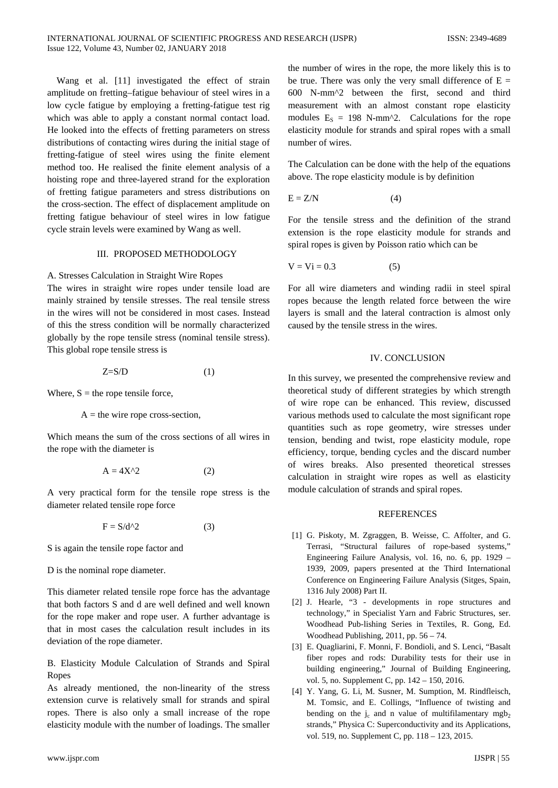Wang et al. [11] investigated the effect of strain amplitude on fretting–fatigue behaviour of steel wires in a low cycle fatigue by employing a fretting-fatigue test rig which was able to apply a constant normal contact load. He looked into the effects of fretting parameters on stress distributions of contacting wires during the initial stage of fretting-fatigue of steel wires using the finite element method too. He realised the finite element analysis of a hoisting rope and three-layered strand for the exploration of fretting fatigue parameters and stress distributions on the cross-section. The effect of displacement amplitude on fretting fatigue behaviour of steel wires in low fatigue cycle strain levels were examined by Wang as well.

## III. PROPOSED METHODOLOGY

#### A. Stresses Calculation in Straight Wire Ropes

The wires in straight wire ropes under tensile load are mainly strained by tensile stresses. The real tensile stress in the wires will not be considered in most cases. Instead of this the stress condition will be normally characterized globally by the rope tensile stress (nominal tensile stress). This global rope tensile stress is

$$
Z = S/D \tag{1}
$$

Where,  $S =$  the rope tensile force,

 $A =$  the wire rope cross-section,

Which means the sum of the cross sections of all wires in the rope with the diameter is

$$
A = 4X^2 \tag{2}
$$

A very practical form for the tensile rope stress is the diameter related tensile rope force

$$
F = S/d^2 \tag{3}
$$

S is again the tensile rope factor and

D is the nominal rope diameter.

This diameter related tensile rope force has the advantage that both factors S and d are well defined and well known for the rope maker and rope user. A further advantage is that in most cases the calculation result includes in its deviation of the rope diameter.

B. Elasticity Module Calculation of Strands and Spiral Ropes

As already mentioned, the non-linearity of the stress extension curve is relatively small for strands and spiral ropes. There is also only a small increase of the rope elasticity module with the number of loadings. The smaller the number of wires in the rope, the more likely this is to be true. There was only the very small difference of  $E =$ 600 N-mm^2 between the first, second and third measurement with an almost constant rope elasticity modules  $E_S = 198$  N-mm<sup> $\wedge$ 2. Calculations for the rope</sup> elasticity module for strands and spiral ropes with a small number of wires.

The Calculation can be done with the help of the equations above. The rope elasticity module is by definition

$$
E = Z/N \tag{4}
$$

For the tensile stress and the definition of the strand extension is the rope elasticity module for strands and spiral ropes is given by Poisson ratio which can be

$$
V = Vi = 0.3 \tag{5}
$$

For all wire diameters and winding radii in steel spiral ropes because the length related force between the wire layers is small and the lateral contraction is almost only caused by the tensile stress in the wires.

## IV. CONCLUSION

In this survey, we presented the comprehensive review and theoretical study of different strategies by which strength of wire rope can be enhanced. This review, discussed various methods used to calculate the most significant rope quantities such as rope geometry, wire stresses under tension, bending and twist, rope elasticity module, rope efficiency, torque, bending cycles and the discard number of wires breaks. Also presented theoretical stresses calculation in straight wire ropes as well as elasticity module calculation of strands and spiral ropes.

#### REFERENCES

- [1] G. Piskoty, M. Zgraggen, B. Weisse, C. Affolter, and G. Terrasi, "Structural failures of rope-based systems," Engineering Failure Analysis, vol. 16, no. 6, pp. 1929 – 1939, 2009, papers presented at the Third International Conference on Engineering Failure Analysis (Sitges, Spain, 1316 July 2008) Part II.
- [2] J. Hearle, "3 developments in rope structures and technology," in Specialist Yarn and Fabric Structures, ser. Woodhead Pub-lishing Series in Textiles, R. Gong, Ed. Woodhead Publishing, 2011, pp. 56 – 74.
- [3] E. Quagliarini, F. Monni, F. Bondioli, and S. Lenci, "Basalt fiber ropes and rods: Durability tests for their use in building engineering," Journal of Building Engineering, vol. 5, no. Supplement C, pp. 142 – 150, 2016.
- [4] Y. Yang, G. Li, M. Susner, M. Sumption, M. Rindfleisch, M. Tomsic, and E. Collings, "Influence of twisting and bending on the  $j_c$  and n value of multifilamentary mgb<sub>2</sub> strands," Physica C: Superconductivity and its Applications, vol. 519, no. Supplement C, pp. 118 – 123, 2015.